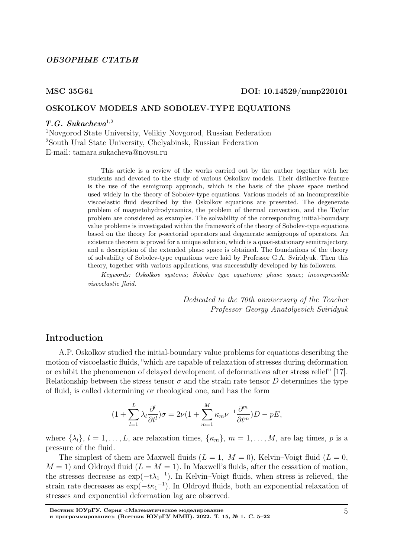### ОБЗОРНЫЕ СТАТЬИ

### MSC 35G61 DOI: 10.14529/mmp220101

## OSKOLKOV MODELS AND SOBOLEV-TYPE EQUATIONS

## $T.G. Sukacheva<sup>1,2</sup>$

<sup>1</sup>Novgorod State University, Velikiy Novgorod, Russian Federation <sup>2</sup>South Ural State University, Chelyabinsk, Russian Federation E-mail: tamara.sukacheva@novsu.ru

> This article is a review of the works carried out by the author together with her students and devoted to the study of various Oskolkov models. Their distinctive feature is the use of the semigroup approach, which is the basis of the phase space method used widely in the theory of Sobolev-type equations. Various models of an incompressible viscoelastic fluid described by the Oskolkov equations are presented. The degenerate problem of magnetohydrodynamics, the problem of thermal convection, and the Taylor problem are considered as examples. The solvability of the corresponding initial-boundary value problems is investigated within the framework of the theory of Sobolev-type equations based on the theory for p-sectorial operators and degenerate semigroups of operators. An existence theorem is proved for a unique solution, which is a quasi-stationary semitrajectory, and a description of the extended phase space is obtained. The foundations of the theory of solvability of Sobolev-type equations were laid by Professor G.A. Sviridyuk. Then this theory, together with various applications, was successfully developed by his followers.

> Keywords: Oskolkov systems; Sobolev type equations; phase space; incompressible viscoelastic fluid.

> > Dedicated to the 70th anniversary of the Teacher Professor Georgy Anatolyevich Sviridyuk

## Introduction

A.P. Oskolkov studied the initial-boundary value problems for equations describing the motion of viscoelastic fluids, "which are capable of relaxation of stresses during deformation or exhibit the phenomenon of delayed development of deformations after stress relief" [17]. Relationship between the stress tensor  $\sigma$  and the strain rate tensor D determines the type of fluid, is called determining or rheological one, and has the form

$$
(1 + \sum_{l=1}^{L} \lambda_l \frac{\partial^l}{\partial t^l}) \sigma = 2\nu (1 + \sum_{m=1}^{M} \kappa_m \nu^{-1} \frac{\partial^m}{\partial t^m}) D - pE,
$$

where  $\{\lambda_l\}, l = 1, \ldots, L$ , are relaxation times,  $\{\kappa_m\}, m = 1, \ldots, M$ , are lag times, p is a pressure of the fluid.

The simplest of them are Maxwell fluids  $(L = 1, M = 0)$ , Kelvin–Voigt fluid  $(L = 0,$  $M = 1$ ) and Oldroyd fluid  $(L = M = 1)$ . In Maxwell's fluids, after the cessation of motion, the stresses decrease as  $\exp(-t\lambda_1^{-1})$ . In Kelvin–Voigt fluids, when stress is relieved, the strain rate decreases as  $\exp(-t\kappa_1^{-1})$ . In Oldroyd fluids, both an exponential relaxation of stresses and exponential deformation lag are observed.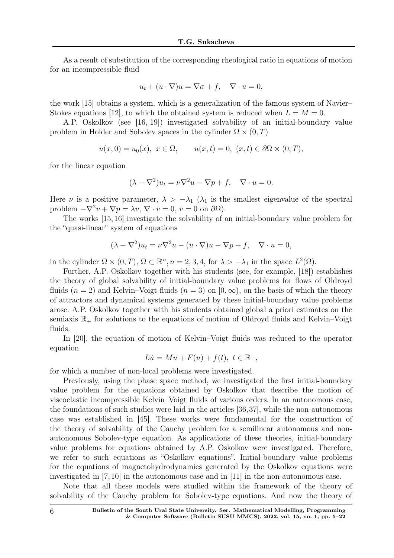As a result of substitution of the corresponding rheological ratio in equations of motion for an incompressible fluid

$$
u_t + (u \cdot \nabla)u = \nabla \sigma + f, \quad \nabla \cdot u = 0,
$$

the work [15] obtains a system, which is a generalization of the famous system of Navier– Stokes equations [12], to which the obtained system is reduced when  $L = M = 0$ .

A.P. Oskolkov (see [16, 19]) investigated solvability of an initial-boundary value problem in Holder and Sobolev spaces in the cylinder  $\Omega \times (0,T)$ 

$$
u(x, 0) = u_0(x), \ x \in \Omega, \qquad u(x,t) = 0, \ (x,t) \in \partial\Omega \times (0,T),
$$

for the linear equation

$$
(\lambda - \nabla^2)u_t = \nu \nabla^2 u - \nabla p + f, \quad \nabla \cdot u = 0.
$$

Here  $\nu$  is a positive parameter,  $\lambda > -\lambda_1$  ( $\lambda_1$  is the smallest eigenvalue of the spectral problem  $-\nabla^2 v + \nabla p = \lambda v, \nabla \cdot v = 0, v = 0$  on  $\partial \Omega$ ).

The works [15, 16] investigate the solvability of an initial-boundary value problem for the "quasi-linear" system of equations

$$
(\lambda - \nabla^2)u_t = \nu \nabla^2 u - (u \cdot \nabla)u - \nabla p + f, \quad \nabla \cdot u = 0,
$$

in the cylinder  $\Omega \times (0,T)$ ,  $\Omega \subset \mathbb{R}^n$ ,  $n = 2,3,4$ , for  $\lambda > -\lambda_1$  in the space  $L^2(\Omega)$ .

Further, A.P. Oskolkov together with his students (see, for example, [18]) establishes the theory of global solvability of initial-boundary value problems for flows of Oldroyd fluids  $(n = 2)$  and Kelvin–Voigt fluids  $(n = 3)$  on  $[0, \infty)$ , on the basis of which the theory of attractors and dynamical systems generated by these initial-boundary value problems arose. A.P. Oskolkov together with his students obtained global a priori estimates on the semiaxis  $\mathbb{R}_+$  for solutions to the equations of motion of Oldroyd fluids and Kelvin–Voigt fluids.

In [20], the equation of motion of Kelvin–Voigt fluids was reduced to the operator equation

$$
Lu = Mu + F(u) + f(t), \ t \in \mathbb{R}_+,
$$

for which a number of non-local problems were investigated.

Previously, using the phase space method, we investigated the first initial-boundary value problem for the equations obtained by Oskolkov that describe the motion of viscoelastic incompressible Kelvin–Voigt fluids of various orders. In an autonomous case, the foundations of such studies were laid in the articles [36,37], while the non-autonomous case was established in [45]. These works were fundamental for the construction of the theory of solvability of the Cauchy problem for a semilinear autonomous and nonautonomous Sobolev-type equation. As applications of these theories, initial-boundary value problems for equations obtained by A.P. Oskolkov were investigated. Therefore, we refer to such equations as "Oskolkov equations". Initial-boundary value problems for the equations of magnetohydrodynamics generated by the Oskolkov equations were investigated in [7, 10] in the autonomous case and in [11] in the non-autonomous case.

Note that all these models were studied within the framework of the theory of solvability of the Cauchy problem for Sobolev-type equations. And now the theory of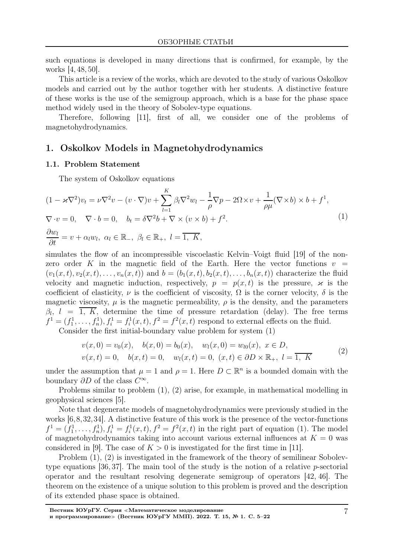such equations is developed in many directions that is confirmed, for example, by the works [4, 48, 50].

This article is a review of the works, which are devoted to the study of various Oskolkov models and carried out by the author together with her students. A distinctive feature of these works is the use of the semigroup approach, which is a base for the phase space method widely used in the theory of Sobolev-type equations.

Therefore, following [11], first of all, we consider one of the problems of magnetohydrodynamics.

## 1. Oskolkov Models in Magnetohydrodynamics

## 1.1. Problem Statement

The system of Oskolkov equations

$$
(1 - \varkappa \nabla^2) v_t = \nu \nabla^2 v - (v \cdot \nabla) v + \sum_{l=1}^K \beta_l \nabla^2 w_l - \frac{1}{\rho} \nabla p - 2\Omega \times v + \frac{1}{\rho \mu} (\nabla \times b) \times b + f^1,
$$
  
\n
$$
\nabla \cdot v = 0, \quad \nabla \cdot b = 0, \quad b_t = \delta \nabla^2 b + \nabla \times (v \times b) + f^2.
$$
  
\n
$$
\frac{\partial w_l}{\partial t} = v + \alpha_l w_l, \ \alpha_l \in \mathbb{R}_-, \ \beta_l \in \mathbb{R}_+, \ l = \overline{1, K},
$$
\n(1)

simulates the flow of an incompressible viscoelastic Kelvin–Voigt fluid [19] of the nonzero order K in the magnetic field of the Earth. Here the vector functions  $v =$  $(v_1(x,t), v_2(x,t), \ldots, v_n(x,t))$  and  $b = (b_1(x,t), b_2(x,t), \ldots, b_n(x,t))$  characterize the fluid velocity and magnetic induction, respectively,  $p = p(x, t)$  is the pressure,  $\varkappa$  is the coefficient of elasticity,  $\nu$  is the coefficient of viscosity,  $\Omega$  is the corner velocity,  $\delta$  is the magnetic viscosity,  $\mu$  is the magnetic permeability,  $\rho$  is the density, and the parameters  $\beta_l$ ,  $l = 1, K$ , determine the time of pressure retardation (delay). The free terms  $f^{1} = (f_{1}^{1}, \ldots, f_{n}^{1}), f_{i}^{1} = f_{i}^{1}(x, t), f^{2} = f^{2}(x, t)$  respond to external effects on the fluid.

Consider the first initial-boundary value problem for system (1)

$$
v(x, 0) = v_0(x), \quad b(x, 0) = b_0(x), \quad w_l(x, 0) = w_{l0}(x), \quad x \in D,
$$
  

$$
v(x, t) = 0, \quad b(x, t) = 0, \quad w_l(x, t) = 0, \quad (x, t) \in \partial D \times \mathbb{R}_+, \quad l = \overline{1, K}
$$
 (2)

under the assumption that  $\mu = 1$  and  $\rho = 1$ . Here  $D \subset \mathbb{R}^n$  is a bounded domain with the boundary  $\partial D$  of the class  $C^{\infty}$ .

Problems similar to problem (1), (2) arise, for example, in mathematical modelling in geophysical sciences [5].

Note that degenerate models of magnetohydrodynamics were previously studied in the works [6,8,32,34]. A distinctive feature of this work is the presence of the vector-functions  $f^{1} = (f_{1}^{1}, \ldots, f_{n}^{1}), f_{i}^{1} = f_{i}^{1}(x, t), f^{2} = f^{2}(x, t)$  in the right part of equation (1). The model of magnetohydrodynamics taking into account various external influences at  $K = 0$  was considered in [9]. The case of  $K > 0$  is investigated for the first time in [11].

Problem (1), (2) is investigated in the framework of the theory of semilinear Sobolevtype equations  $[36, 37]$ . The main tool of the study is the notion of a relative *p*-sectorial operator and the resultant resolving degenerate semigroup of operators [42, 46]. The theorem on the existence of a unique solution to this problem is proved and the description of its extended phase space is obtained.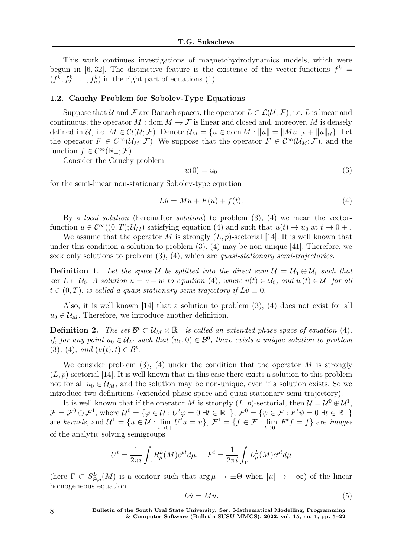This work continues investigations of magnetohydrodynamics models, which were begun in [6,32]. The distinctive feature is the existence of the vector-functions  $f^k =$  $(f_1^k, f_2^k, \ldots, f_n^k)$  in the right part of equations (1).

#### 1.2. Cauchy Problem for Sobolev-Type Equations

Suppose that U and F are Banach spaces, the operator  $L \in \mathcal{L}(\mathcal{U}; \mathcal{F})$ , i.e. L is linear and continuous; the operator  $M : \text{dom } M \to \mathcal{F}$  is linear and closed and, moreover, M is densely defined in  $\mathcal{U}$ , i.e.  $M \in \mathcal{C}l(\mathcal{U};\mathcal{F})$ . Denote  $\mathcal{U}_M = \{u \in \text{dom } M : ||u|| = ||Mu||_{\mathcal{F}} + ||u||_{\mathcal{U}}\}$ . Let the operator  $F \in C^{\infty}(\mathcal{U}_M; \mathcal{F})$ . We suppose that the operator  $F \in C^{\infty}(\mathcal{U}_M; \mathcal{F})$ , and the function  $f \in C^{\infty}(\overline{\mathbb{R}}_+; \mathcal{F}).$ 

Consider the Cauchy problem

$$
u(0) = u_0 \tag{3}
$$

for the semi-linear non-stationary Sobolev-type equation

$$
Li = Mu + F(u) + f(t).
$$
\n<sup>(4)</sup>

By a *local solution* (hereinafter *solution*) to problem  $(3)$ ,  $(4)$  we mean the vectorfunction  $u \in C^{\infty}((0,T); \mathcal{U}_M)$  satisfying equation (4) and such that  $u(t) \to u_0$  at  $t \to 0+$ .

We assume that the operator M is strongly  $(L, p)$ -sectorial [14]. It is well known that under this condition a solution to problem  $(3)$ ,  $(4)$  may be non-unique [41]. Therefore, we seek only solutions to problem  $(3)$ ,  $(4)$ , which are *quasi-stationary semi-trajectories*.

**Definition 1.** Let the space U be splitted into the direct sum  $U = U_0 \oplus U_1$  such that ker  $L \subset \mathcal{U}_0$ . A solution  $u = v + w$  to equation (4), where  $v(t) \in \mathcal{U}_0$ , and  $w(t) \in \mathcal{U}_1$  for all  $t \in (0, T)$ , is called a quasi-stationary semi-trajectory if  $L\dot{v} \equiv 0$ .

Also, it is well known [14] that a solution to problem (3), (4) does not exist for all  $u_0 \in \mathcal{U}_M$ . Therefore, we introduce another definition.

**Definition 2.** The set  $\mathcal{B}^t \subset \mathcal{U}_M \times \bar{\mathbb{R}}_+$  is called an extended phase space of equation (4), if, for any point  $u_0 \in \mathcal{U}_M$  such that  $(u_0, 0) \in \mathcal{B}^0$ , there exists a unique solution to problem (3), (4), and  $(u(t), t) \in \mathcal{B}^t$ .

We consider problem  $(3)$ ,  $(4)$  under the condition that the operator M is strongly  $(L, p)$ -sectorial [14]. It is well known that in this case there exists a solution to this problem not for all  $u_0 \in \mathcal{U}_M$ , and the solution may be non-unique, even if a solution exists. So we introduce two definitions (extended phase space and quasi-stationary semi-trajectory).

It is well known that if the operator M is strongly  $(L, p)$ -sectorial, then  $\mathcal{U} = \mathcal{U}^0 \oplus \mathcal{U}^1$ ,  $\mathcal{F} = \mathcal{F}^0 \oplus \mathcal{F}^1$ , where  $\mathcal{U}^0 = \{ \varphi \in \mathcal{U} : U^t \varphi = 0 \; \exists t \in \mathbb{R}_+ \}, \mathcal{F}^0 = \{ \psi \in \mathcal{F} : F^t \psi = 0 \; \exists t \in \mathbb{R}_+ \}$ are kernels, and  $\mathcal{U}^1 = \{u \in \mathcal{U} : \lim_{t \to 0+} U^t u = u\}, \, \mathcal{F}^1 = \{f \in \mathcal{F} : \lim_{t \to 0+} F^t f = f\}$  are images of the analytic solving semigroups

$$
U^t = \frac{1}{2\pi i} \int_{\Gamma} R^L_{\mu}(M) e^{\mu t} d\mu, \quad F^t = \frac{1}{2\pi i} \int_{\Gamma} L^L_{\mu}(M) e^{\mu t} d\mu
$$

(here  $\Gamma \subset S_{\Theta,a}^L(M)$  is a contour such that  $\arg \mu \to \pm \Theta$  when  $|\mu| \to +\infty$ ) of the linear homogeneous equation

$$
Li = Mu. \tag{5}
$$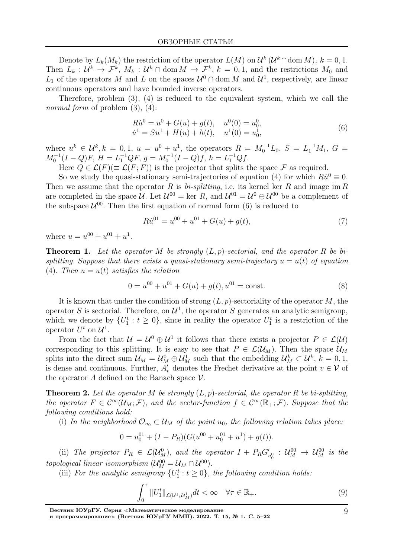Denote by  $L_k(M_k)$  the restriction of the operator  $L(M)$  on  $\mathcal{U}^k(\mathcal{U}^k \cap \text{dom } M)$ ,  $k = 0, 1$ . Then  $L_k: \mathcal{U}^k \to \mathcal{F}^k$ ,  $M_k: \mathcal{U}^k \cap \text{dom } M \to \mathcal{F}^k$ ,  $k = 0, 1$ , and the restrictions  $M_0$  and  $L_1$  of the operators M and L on the spaces  $\mathcal{U}^0 \cap \text{dom } M$  and  $\mathcal{U}^1$ , respectively, are linear continuous operators and have bounded inverse operators.

Therefore, problem (3), (4) is reduced to the equivalent system, which we call the normal form of problem  $(3)$ ,  $(4)$ :

$$
R\dot{u}^0 = u^0 + G(u) + g(t), \quad u^0(0) = u_0^0, \n\dot{u}^1 = Su^1 + H(u) + h(t), \quad u^1(0) = u_0^1,
$$
\n(6)

where  $u^k \in \mathcal{U}^k, k = 0, 1, u = u^0 + u^1$ , the operators  $R = M_0^{-1}L_0, S = L_1^{-1}M_1, G =$  $M_0^{-1}(I-Q)F$ ,  $H = L_1^{-1}QF$ ,  $g = M_0^{-1}(I-Q)f$ ,  $h = L_1^{-1}Qf$ .

Here  $Q \in \mathcal{L}(F) (\equiv \mathcal{L}(F; F))$  is the projector that splits the space F as required.

So we study the quasi-stationary semi-trajectories of equation (4) for which  $R\dot{u}^0 \equiv 0$ . Then we assume that the operator R is bi-splitting, i.e. its kernel ker R and image im R are completed in the space U. Let  $\mathcal{U}^{00} = \text{ker } R$ , and  $\mathcal{U}^{01} = \mathcal{U}^0 \oplus \mathcal{U}^{00}$  be a complement of the subspace  $\mathcal{U}^{00}$ . Then the first equation of normal form (6) is reduced to

$$
R\dot{u}^{01} = u^{00} + u^{01} + G(u) + g(t),\tag{7}
$$

where  $u = u^{00} + u^{01} + u^{1}$ .

**Theorem 1.** Let the operator M be strongly  $(L, p)$ -sectorial, and the operator R be bisplitting. Suppose that there exists a quasi-stationary semi-trajectory  $u = u(t)$  of equation (4). Then  $u = u(t)$  satisfies the relation

$$
0 = u00 + u01 + G(u) + g(t), u01 = const.
$$
 (8)

It is known that under the condition of strong  $(L, p)$ -sectoriality of the operator M, the operator S is sectorial. Therefore, on  $\mathcal{U}^1$ , the operator S generates an analytic semigroup, which we denote by  $\{U_1^t : t \geq 0\}$ , since in reality the operator  $U_1^t$  is a restriction of the operator  $U^t$  on  $\mathcal{U}^1$ .

From the fact that  $\mathcal{U} = \mathcal{U}^0 \oplus \mathcal{U}^1$  it follows that there exists a projector  $P \in \mathcal{L}(\mathcal{U})$ corresponding to this splitting. It is easy to see that  $P \in \mathcal{L}(\mathcal{U}_M)$ . Then the space  $\mathcal{U}_M$ splits into the direct sum  $\mathcal{U}_M = \mathcal{U}_M^0 \oplus \mathcal{U}_M^1$  such that the embedding  $\mathcal{U}_M^k \subset \mathcal{U}^k$ ,  $k = 0, 1$ , is dense and continuous. Further,  $A'_v$  denotes the Frechet derivative at the point  $v \in V$  of the operator A defined on the Banach space  $\mathcal V$ .

**Theorem 2.** Let the operator M be strongly  $(L, p)$ -sectorial, the operator R be bi-splitting, the operator  $F \in C^{\infty}(\mathcal{U}_M; \mathcal{F})$ , and the vector-function  $f \in C^{\infty}(\mathbb{R}_+; \mathcal{F})$ . Suppose that the following conditions hold:

(i) In the neighborhood  $\mathcal{O}_{u_0} \subset \mathcal{U}_M$  of the point  $u_0$ , the following relation takes place:

$$
0 = u_0^{01} + (I - P_R)(G(u^{00} + u_0^{01} + u^1) + g(t)).
$$

(ii) The projector  $P_R \in \mathcal{L}(\mathcal{U}_M^0)$ , and the operator  $I + P_R G'_{u_0^0} : \mathcal{U}_M^{00} \to \mathcal{U}_M^{00}$  is the topological linear isomorphism  $(\mathcal{U}_M^{00} = \mathcal{U}_M \cap \mathcal{U}^{00})$ .

(iii) For the analytic semigroup  $\{U_1^t : t \geq 0\}$ , the following condition holds:

$$
\int_0^\tau \|U_1^t\|_{\mathcal{L}(U^1;U_M^1)} dt < \infty \quad \forall \tau \in \mathbb{R}_+.\tag{9}
$$

Вестник ЮУрГУ. Серия <sup>≪</sup>Математическое моделирование

и программирование<sup>≫</sup> (Вестник ЮУрГУ ММП). 2022. Т. 15, № 1. С. 5–22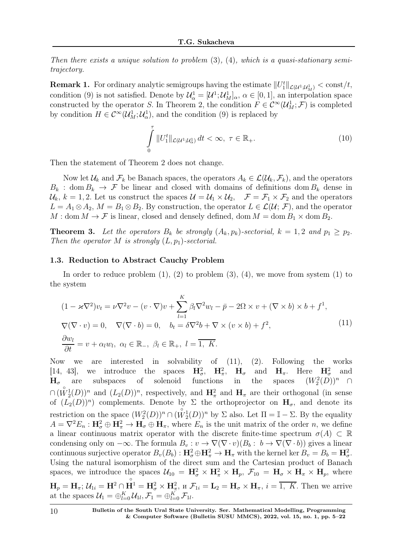Then there exists a unique solution to problem  $(3)$ ,  $(4)$ , which is a quasi-stationary semitrajectory.

**Remark 1.** For ordinary analytic semigroups having the estimate  $||U_1^t||_{\mathcal{L}(U_1^1;U_M^1)} < \text{const}/t$ , condition (9) is not satisfied. Denote by  $\mathcal{U}^1_\alpha = [\mathcal{U}^1; \mathcal{U}^1_M]_\alpha$ ,  $\alpha \in [0, 1]$ , an interpolation space constructed by the operator S. In Theorem 2, the condition  $F \in C^{\infty}(\mathcal{U}_M^1; \mathcal{F})$  is completed by condition  $H \in C^{\infty}(\mathcal{U}_M^1; \mathcal{U}_\alpha^1)$ , and the condition (9) is replaced by

$$
\int_{0}^{\tau} ||U_1^t||_{\mathcal{L}(U^1;U^1_{\alpha})} dt < \infty, \ \tau \in \mathbb{R}_+.
$$
\n(10)

Then the statement of Theorem 2 does not change.

Now let  $\mathcal{U}_k$  and  $\mathcal{F}_k$  be Banach spaces, the operators  $A_k \in \mathcal{L}(\mathcal{U}_k, \mathcal{F}_k)$ , and the operators  $B_k$ : dom  $B_k \to \mathcal{F}$  be linear and closed with domains of definitions dom  $B_k$  dense in  $\mathcal{U}_k$ ,  $k = 1, 2$ . Let us construct the spaces  $\mathcal{U} = \mathcal{U}_1 \times \mathcal{U}_2$ ,  $\mathcal{F} = \mathcal{F}_1 \times \mathcal{F}_2$  and the operators  $L = A_1 \otimes A_2$ ,  $M = B_1 \otimes B_2$ . By construction, the operator  $L \in \mathcal{L}(\mathcal{U}; \mathcal{F})$ , and the operator  $M : \text{dom } M \to \mathcal{F}$  is linear, closed and densely defined, dom  $M = \text{dom } B_1 \times \text{dom } B_2$ .

**Theorem 3.** Let the operators  $B_k$  be strongly  $(A_k, p_k)$ -sectorial,  $k = 1, 2$  and  $p_1 \geq p_2$ . Then the operator M is strongly  $(L, p_1)$ -sectorial.

### 1.3. Reduction to Abstract Cauchy Problem

In order to reduce problem  $(1)$ ,  $(2)$  to problem  $(3)$ ,  $(4)$ , we move from system  $(1)$  to the system

$$
(1 - \varkappa \nabla^2) v_t = \nu \nabla^2 v - (v \cdot \nabla) v + \sum_{l=1}^K \beta_l \nabla^2 w_l - \bar{p} - 2\Omega \times v + (\nabla \times b) \times b + f^1,
$$
  
\n
$$
\nabla (\nabla \cdot v) = 0, \quad \nabla (\nabla \cdot b) = 0, \quad b_t = \delta \nabla^2 b + \nabla \times (v \times b) + f^2,
$$
  
\n
$$
\frac{\partial w_l}{\partial t} = v + \alpha_l w_l, \ \alpha_l \in \mathbb{R}_-, \ \beta_l \in \mathbb{R}_+, \ l = \overline{1, K}.
$$
\n(11)

Now we are interested in solvability of (11), (2). Following the works [14, 43], we introduce the spaces  $H^2_\sigma$ ,  $H^2_\pi$ ,  $H_\sigma$  and  $H_\pi$ . Here  $H^2_\sigma$  and subspaces of solenoid functions in the  $T_2^2(D))^n \cap$  $\cap (W_2^1(D))^n$  and  $(L_2(D))^n$ , respectively, and  $\mathbf{H}^2_\pi$  and  $\mathbf{H}_\pi$  are their orthogonal (in sense  $H_{\sigma}$  are of  $(L_2(D))^n$  complements. Denote by  $\Sigma$  the orthoprojector on  $H_{\sigma}$ , and denote its restriction on the space  $(W_2^2(D))^n \cap (\overset{\circ}{W}_2^1(D))^n$  by  $\Sigma$  also. Let  $\Pi = \mathbb{I} - \Sigma$ . By the equality  $A = \nabla^2 E_n : H^2_\sigma \oplus H^2_\pi \to H_\sigma \oplus H_\pi$ , where  $E_n$  is the unit matrix of the order n, we define a linear continuous matrix operator with the discrete finite-time spectrum  $\sigma(A) \subset \mathbb{R}$ condensing only on  $-\infty$ . The formula  $B_v : v \to \nabla(\nabla \cdot v)(B_b : b \to \nabla(\nabla \cdot b))$  gives a linear continuous surjective operator  $B_v(B_b) : \mathbf{H}^2_\sigma \oplus \mathbf{H}^2_\pi \to \mathbf{H}_\pi$  with the kernel ker  $B_v = B_b = \mathbf{H}^2_\sigma$ . Using the natural isomorphism of the direct sum and the Cartesian product of Banach spaces, we introduce the spaces  $U_{10} = H_{\sigma}^2 \times H_{\pi}^2 \times H_p$ ,  $\mathcal{F}_{10} = H_{\sigma} \times H_{\pi} \times H_p$ , where  $\mathbf{H}_{p}=\mathbf{H}_{\pi};\,\mathcal{U}_{1i}=\mathbf{H}^{2}\cap% \mathbf{H}^{2}$ ◦  $\mathbf{H}^1 = \mathbf{H}^2_{\sigma} \times \mathbf{H}^2_{\pi}$ ,  $\pi \mathcal{F}_{1i} = \mathbf{L}_2 = \mathbf{H}_{\sigma} \times \mathbf{H}_{\pi}$ ,  $i = \overline{1, K}$ . Then we arrive at the spaces  $\mathcal{U}_1 = \bigoplus_{l=0}^K \mathcal{U}_{1l}, \mathcal{F}_1 = \bigoplus_{l=0}^K \mathcal{F}_{1l}.$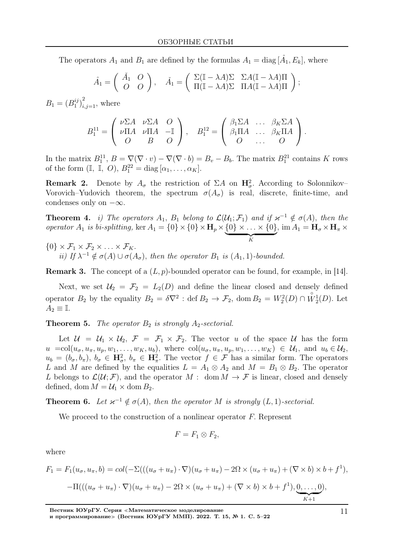The operators  $A_1$  and  $B_1$  are defined by the formulas  $A_1 = \text{diag}[\hat{A_1}, E_k]$ , where

$$
\hat{A}_1 = \begin{pmatrix} \check{A}_1 & O \\ O & O \end{pmatrix}, \quad \check{A}_1 = \begin{pmatrix} \Sigma(\mathbb{I} - \lambda A)\Sigma & \Sigma A(\mathbb{I} - \lambda A)\Pi \\ \Pi(\mathbb{I} - \lambda A)\Sigma & \Pi A(\mathbb{I} - \lambda A)\Pi \end{pmatrix};
$$

 $B_1 = (B_1^{ij})$  $j_{i,j=1}^{ij}$ , where

$$
B_1^{11} = \begin{pmatrix} \nu \Sigma A & \nu \Sigma A & O \\ \nu \Pi A & \nu \Pi A & -\mathbb{I} \\ O & B & O \end{pmatrix}, \quad B_1^{12} = \begin{pmatrix} \beta_1 \Sigma A & \dots & \beta_K \Sigma A \\ \beta_1 \Pi A & \dots & \beta_K \Pi A \\ O & \dots & O \end{pmatrix}.
$$

In the matrix  $B_1^{11}, B = \nabla(\nabla \cdot v) - \nabla(\nabla \cdot b) = B_v - B_b$ . The matrix  $B_1^{21}$  contains K rows of the form  $(\mathbb{I}, \mathbb{I}, O), B_1^{22} = \text{diag} [\alpha_1, \dots, \alpha_K].$ 

**Remark 2.** Denote by  $A_{\sigma}$  the restriction of  $\Sigma A$  on  $\mathbf{H}_{\sigma}^2$ . According to Solonnikov-Vorovich–Yudovich theorem, the spectrum  $\sigma(A_{\sigma})$  is real, discrete, finite-time, and condenses only on  $-\infty$ .

**Theorem 4.** i) The operators  $A_1$ ,  $B_1$  belong to  $\mathcal{L}(\mathcal{U}_1; \mathcal{F}_1)$  and if  $\varkappa^{-1} \notin \sigma(A)$ , then the operator  $A_1$  is bi-splitting, ker  $A_1 = \{0\} \times \{0\} \times \mathbf{H}_p \times \{0\} \times \ldots \times \{0\}$ , im  $A_1 = \mathbf{H}_{\sigma} \times \mathbf{H}_{\pi} \times$ 

 $\overbrace{K}$  ${0} \times \mathcal{F}_1 \times \mathcal{F}_2 \times \ldots \times \mathcal{F}_K.$ ii) If  $\lambda^{-1} \notin \sigma(A) \cup \sigma(A_{\sigma})$ , then the operator  $B_1$  is  $(A_1, 1)$ -bounded.

**Remark 3.** The concept of a  $(L, p)$ -bounded operator can be found, for example, in [14].

Next, we set  $\mathcal{U}_2 = \mathcal{F}_2 = L_2(D)$  and define the linear closed and densely defined operator  $B_2$  by the equality  $B_2 = \delta \nabla^2$ : def  $B_2 \to \mathcal{F}_2$ , dom  $B_2 = W_2^2(D) \cap$  $\overset{\circ}{W}_2^1(D)$ . Let  $A_2 \equiv \mathbb{I}.$ 

**Theorem 5.** The operator  $B_2$  is strongly  $A_2$ -sectorial.

Let  $\mathcal{U} = \mathcal{U}_1 \times \mathcal{U}_2$ ,  $\mathcal{F} = \mathcal{F}_1 \times \mathcal{F}_2$ . The vector u of the space U has the form  $u = \text{col}(u_{\sigma}, u_{\pi}, u_p, w_1, \dots, w_K, u_b)$ , where  $\text{col}(u_{\sigma}, u_{\pi}, u_p, w_1, \dots, w_K) \in \mathcal{U}_1$ , and  $u_b \in \mathcal{U}_2$ ,  $u_b = (b_\sigma, b_\pi), b_\sigma \in \mathbb{H}^2_\sigma$ ,  $b_\pi \in \mathbb{H}^2_\pi$ . The vector  $f \in \mathcal{F}$  has a similar form. The operators L and M are defined by the equalities  $L = A_1 \otimes A_2$  and  $M = B_1 \otimes B_2$ . The operator L belongs to  $\mathcal{L}(\mathcal{U};\mathcal{F})$ , and the operator  $M: \text{ dom } M \to \mathcal{F}$  is linear, closed and densely defined, dom  $M = U_1 \times$  dom  $B_2$ .

**Theorem 6.** Let  $\kappa^{-1} \notin \sigma(A)$ , then the operator M is strongly  $(L, 1)$ -sectorial.

We proceed to the construction of a nonlinear operator  $F$ . Represent

$$
F=F_1\otimes F_2,
$$

where

$$
F_1 = F_1(u_\sigma, u_\pi, b) = col(-\Sigma(((u_\sigma + u_\pi) \cdot \nabla)(u_\sigma + u_\pi) - 2\Omega \times (u_\sigma + u_\pi) + (\nabla \times b) \times b + f^1),
$$
  
-
$$
\Pi(((u_\sigma + u_\pi) \cdot \nabla)(u_\sigma + u_\pi) - 2\Omega \times (u_\sigma + u_\pi) + (\nabla \times b) \times b + f^1), \underbrace{0, \dots, 0}_{K+1}),
$$

Вестник ЮУрГУ. Серия <sup>≪</sup>Математическое моделирование и программирование<sup>≫</sup> (Вестник ЮУрГУ ММП). 2022. Т. 15, № 1. С. 5–22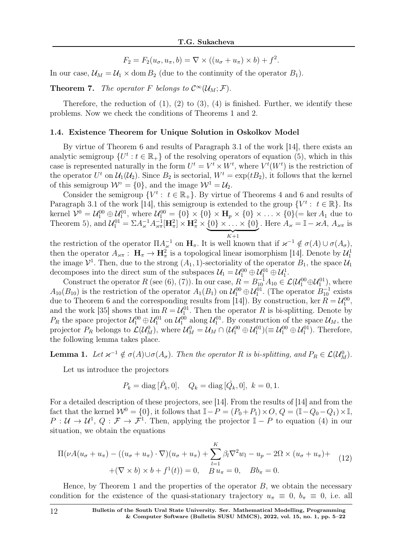$$
F_2 = F_2(u_\sigma, u_\pi, b) = \nabla \times ((u_\sigma + u_\pi) \times b) + f^2.
$$

In our case,  $\mathcal{U}_M = \mathcal{U}_1 \times \text{dom } B_2$  (due to the continuity of the operator  $B_1$ ).

**Theorem 7.** The operator F belongs to  $C^{\infty}(\mathcal{U}_M; \mathcal{F})$ .

Therefore, the reduction of  $(1)$ ,  $(2)$  to  $(3)$ ,  $(4)$  is finished. Further, we identify these problems. Now we check the conditions of Theorems 1 and 2.

#### 1.4. Existence Theorem for Unique Solution in Oskolkov Model

By virtue of Theorem 6 and results of Paragraph 3.1 of the work [14], there exists an analytic semigroup  $\{U^t : t \in \mathbb{R}_+\}$  of the resolving operators of equation (5), which in this case is represented naturally in the form  $U^t = V^t \times W^t$ , where  $V^t(W^t)$  is the restriction of the operator  $U^t$  on  $\mathcal{U}_1(\mathcal{U}_2)$ . Since  $B_2$  is sectorial,  $W^t = \exp(tB_2)$ , it follows that the kernel of this semigroup  $W^{\circ} = \{0\}$ , and the image  $W^1 = U_2$ .

Consider the semigroup  $\{V^t: t \in \mathbb{R}_+\}$ . By virtue of Theorems 4 and 6 and results of Paragraph 3.1 of the work [14], this semigroup is extended to the group  $\{V^t: t \in \mathbb{R}\}.$  Its kernel  $\mathcal{V}^0 = \mathcal{U}^{00}_1 \oplus \mathcal{U}^{01}_1$ , where  $\mathcal{U}^{00}_1 = \{0\} \times \{0\} \times \mathbf{H}_p \times \{0\} \times \ldots \times \{0\} (= \ker A_1$  due to Theorem 5), and  $\mathcal{U}_1^{01} = \Sigma A_{\varkappa}^{-1} A_{\varkappa\pi}^{-1} [\mathbf{H}_{\pi}^2] \times \mathbf{H}_{\pi}^2 \times \{0\} \times \ldots \times \{0\}$  $\overbrace{K+1}$ . Here  $A_{\varkappa} = \mathbb{I} - \varkappa A, A_{\varkappa \pi}$  is

the restriction of the operator  $\Pi A_{\varkappa}^{-1}$  on  $\mathbf{H}_{\pi}$ . It is well known that if  $\varkappa^{-1} \notin \sigma(A) \cup \sigma(A_{\sigma}),$ then the operator  $A_{\varkappa\pi}: \mathbf{H}_{\pi} \to \mathbf{H}_{\pi}^2$  is a topological linear isomorphism [14]. Denote by  $\mathcal{U}_1^1$ the image  $\mathcal{V}^1$ . Then, due to the strong  $(A_1, 1)$ -sectoriality of the operator  $B_1$ , the space  $\mathcal{U}_1$ decomposes into the direct sum of the subspaces  $\mathcal{U}_1 = \mathcal{U}_1^{00} \oplus \mathcal{U}_1^{01} \oplus \mathcal{U}_1^1$ . 1

Construct the operator R (see (6), (7)). In our case,  $R = B_{10}^{-1}A_{10} \in \mathcal{L}(\mathcal{U}_1^{00} \oplus \mathcal{U}_1^{01})$ , where  $A_{10}(B_{10})$  is the restriction of the operator  $A_1(B_1)$  on  $\mathcal{U}_1^{00} \oplus \mathcal{U}_1^{01}$ . (The operator  $B_{10}^{-1}$  exists due to Theorem 6 and the corresponding results from [14]). By construction, ker  $R = U_1^{00}$ , 1 and the work [35] shows that  $\text{im } R = \mathcal{U}_1^{01}$ . Then the operator R is bi-splitting. Denote by  $P_R$  the space projector  $\mathcal{U}_1^{00} \oplus \mathcal{U}_1^{01}$  on  $\mathcal{U}_1^{00}$  along  $\mathcal{U}_1^{01}$ . By construction of the space  $\mathcal{U}_M$ , the projector  $P_R$  belongs to  $\mathcal{L}(\mathcal{U}_M^0)$ , where  $\mathcal{U}_M^0 = \mathcal{U}_M \cap (\mathcal{U}_1^{00} \oplus \mathcal{U}_1^{01}) (\equiv \mathcal{U}_1^{00} \oplus \mathcal{U}_1^{01})$ . Therefore, the following lemma takes place.

**Lemma 1.** Let  $\kappa^{-1} \notin \sigma(A) \cup \sigma(A_{\sigma})$ . Then the operator R is bi-splitting, and  $P_R \in \mathcal{L}(\mathcal{U}_{M}^0)$ .

Let us introduce the projectors

$$
P_k = \text{diag} [\hat{P}_k, 0], \quad Q_k = \text{diag} [\hat{Q}_k, 0], \ k = 0, 1.
$$

For a detailed description of these projectors, see [14]. From the results of [14] and from the fact that the kernel  $W^0 = \{0\}$ , it follows that  $\mathbb{I} - P = (P_0 + P_1) \times O$ ,  $Q = (\mathbb{I} - Q_0 - Q_1) \times \mathbb{I}$ ,  $P: \mathcal{U} \to \mathcal{U}^1$ ,  $Q: \mathcal{F} \to \mathcal{F}^1$ . Then, applying the projector  $\mathbb{I} - P$  to equation (4) in our situation, we obtain the equations

$$
\Pi(\nu A(u_{\sigma} + u_{\pi}) - ((u_{\sigma} + u_{\pi}) \cdot \nabla)(u_{\sigma} + u_{\pi}) + \sum_{l=1}^{K} \beta_{l} \nabla^{2} w_{l} - u_{p} - 2\Omega \times (u_{\sigma} + u_{\pi}) +
$$
  
 
$$
+(\nabla \times b) \times b + f^{1}(t)) = 0, \quad B u_{\pi} = 0, \quad B b_{\pi} = 0.
$$
 (12)

Hence, by Theorem 1 and the properties of the operator  $B$ , we obtain the necessary condition for the existence of the quasi-stationary trajectory  $u_{\pi} \equiv 0$ ,  $b_{\pi} \equiv 0$ , i.e. all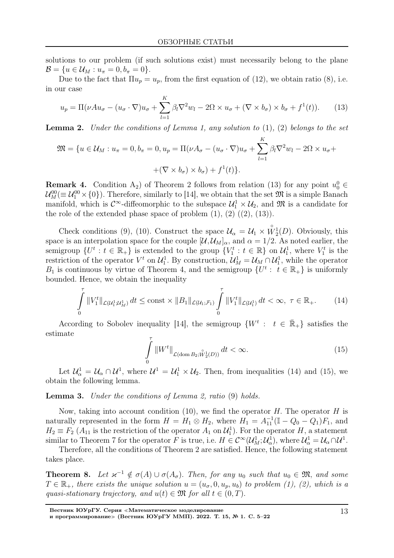solutions to our problem (if such solutions exist) must necessarily belong to the plane  $\mathcal{B} = \{u \in \mathcal{U}_M : u_{\pi} = 0, b_{\pi} = 0\}.$ 

Due to the fact that  $\Pi u_p = u_p$ , from the first equation of (12), we obtain ratio (8), i.e. in our case

$$
u_p = \Pi(\nu A u_\sigma - (u_\sigma \cdot \nabla)u_\sigma + \sum_{l=1}^K \beta_l \nabla^2 w_l - 2\Omega \times u_\sigma + (\nabla \times b_\sigma) \times b_\sigma + f^1(t)). \tag{13}
$$

**Lemma 2.** Under the conditions of Lemma 1, any solution to  $(1)$ ,  $(2)$  belongs to the set

$$
\mathfrak{M} = \{ u \in \mathcal{U}_M : u_{\pi} = 0, b_{\pi} = 0, u_p = \Pi(\nu A_{\sigma} - (u_{\sigma} \cdot \nabla)u_{\sigma} + \sum_{l=1}^{K} \beta_l \nabla^2 w_l - 2\Omega \times u_{\sigma} +
$$

$$
+ (\nabla \times b_{\sigma}) \times b_{\sigma}) + f^1(t) \}.
$$

**Remark 4.** Condition A<sub>2</sub>) of Theorem 2 follows from relation (13) for any point  $u_0^0 \in$  $\mathcal{U}_M^{00}(\equiv \mathcal{U}_1^{00} \times \{0\})$ . Therefore, similarly to [14], we obtain that the set  $\mathfrak{M}$  is a simple Banach manifold, which is  $\mathcal{C}^{\infty}$ -diffeomorphic to the subspace  $\mathcal{U}_1^1 \times \mathcal{U}_2$ , and  $\mathfrak{M}$  is a candidate for the role of the extended phase space of problem  $(1)$ ,  $(2)$   $((2)$ ,  $(13)$ ).

Check conditions (9), (10). Construct the space  $\mathcal{U}_{\alpha} = \mathcal{U}_1 \times$  $\overset{\circ}{W}_2^1(D)$ . Obviously, this space is an interpolation space for the couple  $[\mathcal{U}, \mathcal{U}_M]_{\alpha}$ , and  $\alpha = 1/2$ . As noted earlier, the semigroup  $\{U^t : t \in \mathbb{R}_+\}$  is extended to the group  $\{V_1^t : t \in \mathbb{R}\}\$  on  $\mathcal{U}_1^1$ , where  $V_1^t$  is the restriction of the operator  $V^t$  on  $\mathcal{U}_1^1$ . By construction,  $\mathcal{U}_M^1 = \mathcal{U}_M \cap \mathcal{U}_1^1$ , while the operator  $B_1$  is continuous by virtue of Theorem 4, and the semigroup  $\{U^t: t \in \mathbb{R}_+\}$  is uniformly bounded. Hence, we obtain the inequality

$$
\int_{0}^{\tau} ||V_{1}^{t}||_{\mathcal{L}(U_{1}^{1};\mathcal{U}_{M}^{1})} dt \le \text{const} \times ||B_{1}||_{\mathcal{L}(U_{1};\mathcal{F}_{1})} \int_{0}^{\tau} ||V_{1}^{t}||_{\mathcal{L}(U_{1}^{1})} dt < \infty, \ \tau \in \mathbb{R}_{+}.
$$
 (14)

According to Sobolev inequality [14], the semigroup  $\{W^t : t \in \overline{\mathbb{R}}_+\}$  satisfies the estimate

$$
\int\limits_{0}^{\tau} \|W^t\|_{\mathcal{L}(\text{dom }B_2; \hat{W}_2^1(D))} dt < \infty.
$$
\n(15)

Let  $\mathcal{U}^1_\alpha = \mathcal{U}_\alpha \cap \mathcal{U}^1$ , where  $\mathcal{U}^1 = \mathcal{U}^1_1 \times \mathcal{U}_2$ . Then, from inequalities (14) and (15), we obtain the following lemma.

Lemma 3. Under the conditions of Lemma 2, ratio (9) holds.

Now, taking into account condition (10), we find the operator  $H$ . The operator  $H$  is naturally represented in the form  $H = H_1 \otimes H_2$ , where  $H_1 = A_{11}^{-1} (\mathbb{I} - Q_0 - Q_1) F_1$ , and  $H_2 \equiv F_2(A_{11})$  is the restriction of the operator  $A_1$  on  $\mathcal{U}_1^1$ ). For the operator H, a statement similar to Theorem 7 for the operator F is true, i.e.  $H \in C^{\infty}(\mathcal{U}_M^1;\mathcal{U}_\alpha^1)$ , where  $\mathcal{U}_\alpha^1 = \mathcal{U}_\alpha \cap \mathcal{U}^1$ .

Therefore, all the conditions of Theorem 2 are satisfied. Hence, the following statement takes place.

**Theorem 8.** Let  $x^{-1} \notin \sigma(A) \cup \sigma(A_{\sigma})$ . Then, for any  $u_0$  such that  $u_0 \in \mathfrak{M}$ , and some  $T \in \mathbb{R}_+$ , there exists the unique solution  $u = (u_{\sigma}, 0, u_p, u_b)$  to problem (1), (2), which is a quasi-stationary trajectory, and  $u(t) \in \mathfrak{M}$  for all  $t \in (0, T)$ .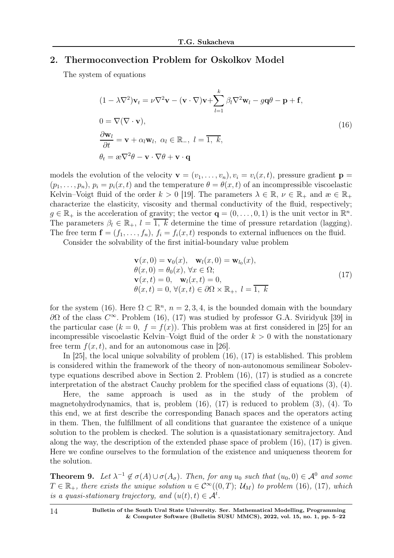## 2. Thermoconvection Problem for Oskolkov Model

The system of equations

$$
(1 - \lambda \nabla^2) \mathbf{v}_t = \nu \nabla^2 \mathbf{v} - (\mathbf{v} \cdot \nabla) \mathbf{v} + \sum_{l=1}^k \beta_l \nabla^2 \mathbf{w}_l - g \mathbf{q} \theta - \mathbf{p} + \mathbf{f},
$$
  
\n
$$
0 = \nabla (\nabla \cdot \mathbf{v}),
$$
  
\n
$$
\frac{\partial \mathbf{w}_l}{\partial t} = \mathbf{v} + \alpha_l \mathbf{w}_l, \ \alpha_l \in \mathbb{R}_-, \ l = \overline{1, k},
$$
  
\n
$$
\theta_t = \mathbf{a} \nabla^2 \theta - \mathbf{v} \cdot \nabla \theta + \mathbf{v} \cdot \mathbf{q}
$$
\n(16)

models the evolution of the velocity  $\mathbf{v} = (v_1, \ldots, v_n), v_i = v_i(x, t)$ , pressure gradient  $\mathbf{p} =$  $(p_1, \ldots, p_n), p_i = p_i(x, t)$  and the temperature  $\theta = \theta(x, t)$  of an incompressible viscoelastic Kelvin–Voigt fluid of the order  $k > 0$  [19]. The parameters  $\lambda \in \mathbb{R}, \nu \in \mathbb{R}_+$  and  $\alpha \in \mathbb{R}_+$ characterize the elasticity, viscosity and thermal conductivity of the fluid, respectively;  $g \in \mathbb{R}_+$  is the acceleration of gravity; the vector  $\mathbf{q} = (0, \ldots, 0, 1)$  is the unit vector in  $\mathbb{R}^n$ . The parameters  $\beta_l \in \mathbb{R}_+$ ,  $l = \overline{1, k}$  determine the time of pressure retardation (lagging). The free term  $\mathbf{f} = (f_1, \ldots, f_n)$ ,  $f_i = f_i(x, t)$  responds to external influences on the fluid.

Consider the solvability of the first initial-boundary value problem

$$
\mathbf{v}(x,0) = \mathbf{v}_0(x), \quad \mathbf{w}_l(x,0) = \mathbf{w}_{l_0}(x), \n\theta(x,0) = \theta_0(x), \forall x \in \Omega; \n\mathbf{v}(x,t) = 0, \quad \mathbf{w}_l(x,t) = 0, \n\theta(x,t) = 0, \forall (x,t) \in \partial\Omega \times \mathbb{R}_+, \quad l = \overline{1, k}
$$
\n(17)

for the system (16). Here  $\Omega \subset \mathbb{R}^n$ ,  $n = 2, 3, 4$ , is the bounded domain with the boundary  $∂Ω$  of the class  $C^∞$ . Problem (16), (17) was studied by professor G.A. Sviridyuk [39] in the particular case  $(k = 0, f = f(x))$ . This problem was at first considered in [25] for an incompressible viscoelastic Kelvin–Voigt fluid of the order  $k > 0$  with the nonstationary free term  $f(x, t)$ , and for an autonomous case in [26].

In [25], the local unique solvability of problem (16), (17) is established. This problem is considered within the framework of the theory of non-autonomous semilinear Sobolevtype equations described above in Section 2. Problem (16), (17) is studied as a concrete interpretation of the abstract Cauchy problem for the specified class of equations (3), (4).

Here, the same approach is used as in the study of the problem of magnetohydrodynamics, that is, problem (16), (17) is reduced to problem (3), (4). To this end, we at first describe the corresponding Banach spaces and the operators acting in them. Then, the fulfillment of all conditions that guarantee the existence of a unique solution to the problem is checked. The solution is a quasistationary semitrajectory. And along the way, the description of the extended phase space of problem (16), (17) is given. Here we confine ourselves to the formulation of the existence and uniqueness theorem for the solution.

**Theorem 9.** Let  $\lambda^{-1} \notin \sigma(A) \cup \sigma(A_{\sigma})$ . Then, for any  $u_0$  such that  $(u_0, 0) \in \mathcal{A}^0$  and some  $T \in \mathbb{R}_+$ , there exists the unique solution  $u \in C^{\infty}((0,T); \mathcal{U}_M)$  to problem (16), (17), which is a quasi-stationary trajectory, and  $(u(t), t) \in A^t$ .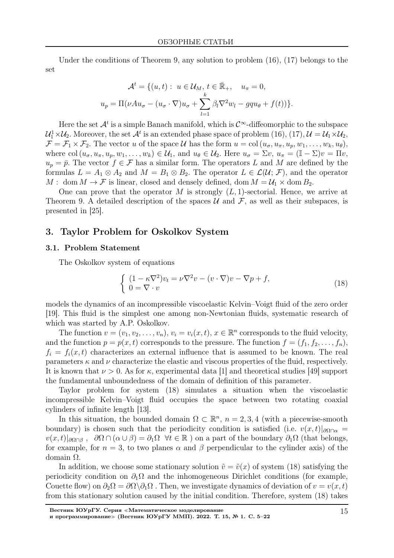Under the conditions of Theorem 9, any solution to problem  $(16)$ ,  $(17)$  belongs to the set

$$
\mathcal{A}^t = \{ (u, t) : u \in \mathcal{U}_M, t \in \bar{\mathbb{R}}_+, u_\pi = 0,
$$
  

$$
u_p = \Pi(\nu A u_\sigma - (u_\sigma \cdot \nabla) u_\sigma + \sum_{l=1}^k \beta_l \nabla^2 w_l - g q u_\theta + f(t)) \}.
$$

Here the set  $\mathcal{A}^t$  is a simple Banach manifold, which is  $\mathcal{C}^{\infty}$ -diffeomorphic to the subspace  $\mathcal{U}_1^1\times\mathcal{U}_2$ . Moreover, the set  $\mathcal{A}^t$  is an extended phase space of problem  $(16)$ ,  $(17)$ ,  $\mathcal{U}=\mathcal{U}_1\times\mathcal{U}_2$ ,  $\mathcal{F} = \mathcal{F}_1 \times \mathcal{F}_2$ . The vector u of the space U has the form  $u = col(u_{\sigma}, u_{\pi}, u_p, w_1, \ldots, w_k, u_{\theta}),$ where col  $(u_{\sigma}, u_{\pi}, u_p, w_1, \ldots, w_k) \in \mathcal{U}_1$ , and  $u_{\theta} \in \mathcal{U}_2$ . Here  $u_{\sigma} = \Sigma v$ ,  $u_{\pi} = (\mathbb{I} - \Sigma)v = \Pi v$ ,  $u_p = \bar{p}$ . The vector  $f \in \mathcal{F}$  has a similar form. The operators L and M are defined by the formulas  $L = A_1 \otimes A_2$  and  $M = B_1 \otimes B_2$ . The operator  $L \in \mathcal{L}(\mathcal{U}; \mathcal{F})$ , and the operator  $M: \text{ dom } M \to \mathcal{F}$  is linear, closed and densely defined, dom  $M = \mathcal{U}_1 \times \text{dom } B_2$ .

One can prove that the operator M is strongly  $(L, 1)$ -sectorial. Hence, we arrive at Theorem 9. A detailed description of the spaces  $\mathcal U$  and  $\mathcal F$ , as well as their subspaces, is presented in [25].

## 3. Taylor Problem for Oskolkov System

### 3.1. Problem Statement

The Oskolkov system of equations

$$
\begin{cases} (1 - \kappa \nabla^2) v_t = \nu \nabla^2 v - (v \cdot \nabla) v - \nabla p + f, \\ 0 = \nabla \cdot v \end{cases}
$$
 (18)

models the dynamics of an incompressible viscoelastic Kelvin–Voigt fluid of the zero order [19]. This fluid is the simplest one among non-Newtonian fluids, systematic research of which was started by A.P. Oskolkov.

The function  $v = (v_1, v_2, \dots, v_n), v_i = v_i(x, t), x \in \mathbb{R}^n$  corresponds to the fluid velocity, and the function  $p = p(x, t)$  corresponds to the pressure. The function  $f = (f_1, f_2, \ldots, f_n)$ ,  $f_i = f_i(x, t)$  characterizes an external influence that is assumed to be known. The real parameters  $\kappa$  and  $\nu$  characterize the elastic and viscous properties of the fluid, respectively. It is known that  $\nu > 0$ . As for  $\kappa$ , experimental data [1] and theoretical studies [49] support the fundamental unboundedness of the domain of definition of this parameter.

Taylor problem for system (18) simulates a situation when the viscoelastic incompressible Kelvin–Voigt fluid occupies the space between two rotating coaxial cylinders of infinite length [13].

In this situation, the bounded domain  $\Omega \subset \mathbb{R}^n$ ,  $n = 2, 3, 4$  (with a piecewise-smooth boundary) is chosen such that the periodicity condition is satisfied (i.e.  $v(x,t)|_{\partial\Omega\cap\alpha}$  =  $v(x, t)|_{\partial\Omega\cap\beta}$ ,  $\partial\Omega\cap(\alpha\cup\beta)=\partial_1\Omega$   $\forall t\in\mathbb{R}$ ) on a part of the boundary  $\partial_1\Omega$  (that belongs, for example, for  $n = 3$ , to two planes  $\alpha$  and  $\beta$  perpendicular to the cylinder axis) of the domain Ω.

In addition, we choose some stationary solution  $\tilde{v} = \tilde{v}(x)$  of system (18) satisfying the periodicity condition on  $\partial_1\Omega$  and the inhomogeneous Dirichlet conditions (for example, Couette flow) on  $\partial_2\Omega = \partial\Omega\backslash\partial_1\Omega$ . Then, we investigate dynamics of deviation of  $v = v(x, t)$ from this stationary solution caused by the initial condition. Therefore, system (18) takes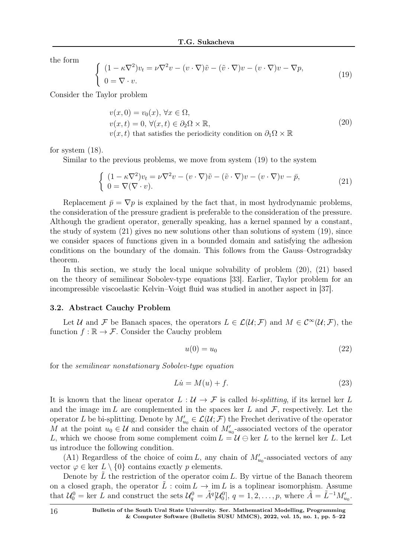the form

$$
\begin{cases}\n(1 - \kappa \nabla^2) v_t = \nu \nabla^2 v - (v \cdot \nabla) \tilde{v} - (\tilde{v} \cdot \nabla) v - (v \cdot \nabla) v - \nabla p, \\
0 = \nabla \cdot v.\n\end{cases}
$$
\n(19)

Consider the Taylor problem

$$
v(x, 0) = v_0(x), \forall x \in \Omega,
$$
  
\n
$$
v(x, t) = 0, \forall (x, t) \in \partial_2 \Omega \times \mathbb{R},
$$
  
\n
$$
v(x, t) \text{ that satisfies the periodicity condition on } \partial_1 \Omega \times \mathbb{R}
$$
\n(20)

for system (18).

Similar to the previous problems, we move from system (19) to the system

$$
\begin{cases}\n(1 - \kappa \nabla^2) v_t = \nu \nabla^2 v - (v \cdot \nabla) \tilde{v} - (\tilde{v} \cdot \nabla) v - (v \cdot \nabla) v - \bar{p}, \\
0 = \nabla (\nabla \cdot v).\n\end{cases}
$$
\n(21)

Replacement  $\bar{p} = \nabla p$  is explained by the fact that, in most hydrodynamic problems, the consideration of the pressure gradient is preferable to the consideration of the pressure. Although the gradient operator, generally speaking, has a kernel spanned by a constant, the study of system (21) gives no new solutions other than solutions of system (19), since we consider spaces of functions given in a bounded domain and satisfying the adhesion conditions on the boundary of the domain. This follows from the Gauss–Ostrogradsky theorem.

In this section, we study the local unique solvability of problem (20), (21) based on the theory of semilinear Sobolev-type equations [33]. Earlier, Taylor problem for an incompressible viscoelastic Kelvin–Voigt fluid was studied in another aspect in [37].

#### 3.2. Abstract Cauchy Problem

Let U and F be Banach spaces, the operators  $L \in \mathcal{L}(\mathcal{U}; \mathcal{F})$  and  $M \in \mathcal{C}^{\infty}(\mathcal{U}; \mathcal{F})$ , the function  $f : \mathbb{R} \to \mathcal{F}$ . Consider the Cauchy problem

$$
u(0) = u_0 \tag{22}
$$

for the semilinear nonstationary Sobolev-type equation

$$
Li = M(u) + f.
$$
\n(23)

It is known that the linear operator  $L : U \to \mathcal{F}$  is called bi-splitting, if its kernel ker L and the image im L are complemented in the spaces ker L and  $\mathcal F$ , respectively. Let the operator L be bi-splitting. Denote by  $M'_{u_0} \in \mathcal{L}(\mathcal{U}; \mathcal{F})$  the Frechet derivative of the operator M at the point  $u_0 \in \mathcal{U}$  and consider the chain of  $M'_{u_0}$ -associated vectors of the operator L, which we choose from some complement coim  $L = U \oplus \ker L$  to the kernel ker L. Let us introduce the following condition.

(A1) Regardless of the choice of coim L, any chain of  $M'_{u_0}$ -associated vectors of any vector  $\varphi \in \text{ker } L \setminus \{0\}$  contains exactly p elements.

Denote by  $L$  the restriction of the operator coim  $L$ . By virtue of the Banach theorem on a closed graph, the operator  $\tilde{L}$  : coim  $L \to \text{im } L$  is a toplinear isomorphism. Assume that  $\mathcal{U}_0^0 = \text{ker } L$  and construct the sets  $\mathcal{U}_q^0 = \tilde{A}^q[\mathcal{U}_0^0], q = 1, 2, \ldots, p$ , where  $\tilde{A} = \tilde{L}^{-1}M'_{u_0}$ .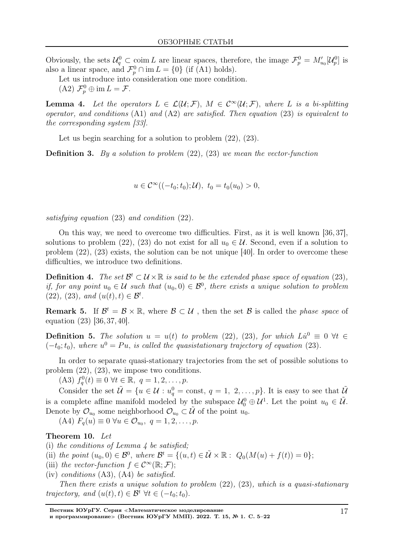Obviously, the sets  $\mathcal{U}_q^0 \subset \text{coim } L$  are linear spaces, therefore, the image  $\mathcal{F}_p^0 = M'_{u_0}[\mathcal{U}_p^0]$  is also a linear space, and  $\mathcal{F}_p^0 \cap \text{im } L = \{0\}$  (if (A1) holds).

Let us introduce into consideration one more condition.

(A2)  $\mathcal{F}_p^0 \oplus \text{im } L = \mathcal{F}.$ 

**Lemma 4.** Let the operators  $L \in \mathcal{L}(\mathcal{U}; \mathcal{F})$ ,  $M \in \mathcal{C}^{\infty}(\mathcal{U}; \mathcal{F})$ , where L is a bi-splitting operator, and conditions (А1) and (А2) are satisfied. Then equation (23) is equivalent to the corresponding system [33].

Let us begin searching for a solution to problem  $(22)$ ,  $(23)$ .

**Definition 3.** By a solution to problem  $(22)$ ,  $(23)$  we mean the vector-function

 $u \in C^{\infty}((-t_0; t_0); \mathcal{U}), t_0 = t_0(u_0) > 0,$ 

satisfying equation (23) and condition (22).

On this way, we need to overcome two difficulties. First, as it is well known [36, 37], solutions to problem (22), (23) do not exist for all  $u_0 \in \mathcal{U}$ . Second, even if a solution to problem (22), (23) exists, the solution can be not unique [40]. In order to overcome these difficulties, we introduce two definitions.

**Definition 4.** The set  $\mathcal{B}^t \subset \mathcal{U} \times \mathbb{R}$  is said to be the extended phase space of equation (23), if, for any point  $u_0 \in \mathcal{U}$  such that  $(u_0, 0) \in \mathcal{B}^0$ , there exists a unique solution to problem (22), (23), and  $(u(t), t) \in \mathcal{B}^t$ .

**Remark 5.** If  $\mathcal{B}^t = \mathcal{B} \times \mathbb{R}$ , where  $\mathcal{B} \subset \mathcal{U}$ , then the set  $\mathcal{B}$  is called the *phase space* of equation (23) [36, 37, 40].

**Definition 5.** The solution  $u = u(t)$  to problem (22), (23), for which  $Lu^0 \equiv 0$   $\forall t \in$  $(-t_0; t_0)$ , where  $u^0 = Pu$ , is called the quasistationary trajectory of equation (23).

In order to separate quasi-stationary trajectories from the set of possible solutions to problem  $(22)$ ,  $(23)$ , we impose two conditions.

(A3)  $f_q^0(t) \equiv 0 \ \forall t \in \mathbb{R}, \ q = 1, 2, \dots, p.$ 

Consider the set  $\tilde{\mathcal{U}} = \{u \in \mathcal{U} : u_q^0 = \text{const}, q = 1, 2, \ldots, p\}$ . It is easy to see that  $\tilde{\mathcal{U}}$ is a complete affine manifold modeled by the subspace  $\mathcal{U}_0^0 \oplus \mathcal{U}^1$ . Let the point  $u_0 \in \tilde{\mathcal{U}}$ . Denote by  $\mathcal{O}_{u_0}$  some neighborhood  $\mathcal{O}_{u_0} \subset \tilde{\mathcal{U}}$  of the point  $u_0$ .

(A4)  $F_q(u) \equiv 0 \,\forall u \in \mathcal{O}_{u_0}, \ q = 1, 2, \ldots, p.$ 

### Theorem 10. Let

(i) the conditions of Lemma  $\lambda$  be satisfied;

(ii) the point  $(u_0, 0) \in \mathcal{B}^0$ , where  $\mathcal{B}^t = \{(u, t) \in \tilde{\mathcal{U}} \times \mathbb{R} : Q_0(M(u) + f(t)) = 0\};$ 

(iii) the vector-function  $f \in C^{\infty}(\mathbb{R}; \mathcal{F});$ 

(iv) conditions  $(A3)$ ,  $(A4)$  be satisfied.

Then there exists a unique solution to problem  $(22)$ ,  $(23)$ , which is a quasi-stationary trajectory, and  $(u(t), t) \in \mathcal{B}^t \ \forall t \in (-t_0; t_0)$ .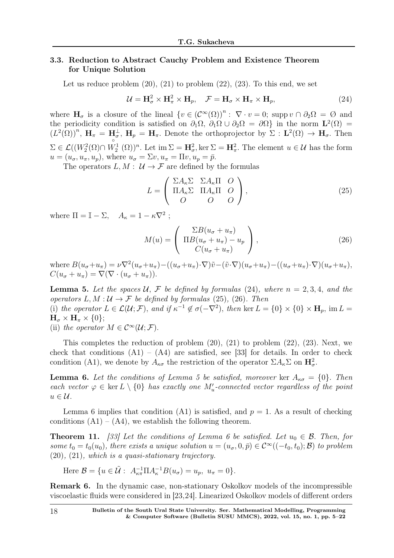## 3.3. Reduction to Abstract Cauchy Problem and Existence Theorem for Unique Solution

Let us reduce problem  $(20)$ ,  $(21)$  to problem  $(22)$ ,  $(23)$ . To this end, we set

$$
\mathcal{U} = \mathbf{H}_{\sigma}^{2} \times \mathbf{H}_{\pi}^{2} \times \mathbf{H}_{p}, \quad \mathcal{F} = \mathbf{H}_{\sigma} \times \mathbf{H}_{\pi} \times \mathbf{H}_{p}, \tag{24}
$$

where  $H_{\sigma}$  is a closure of the lineal  $\{v \in (\mathcal{C}^{\infty}(\Omega))^{n} : \nabla \cdot v = 0; \text{ supp } v \cap \partial_2\Omega = \emptyset \text{ and }$ the periodicity condition is satisfied on  $\partial_1\Omega$ ,  $\partial_1\Omega\cup\partial_2\Omega = \partial\Omega$  in the norm  $\mathbf{L}^2(\Omega) =$  $(L^2(\Omega))^n$ ,  $\mathbf{H}_{\pi} = \mathbf{H}_{\sigma}^{\perp}$ ,  $\mathbf{H}_{p} = \mathbf{H}_{\pi}$ . Denote the orthoprojector by  $\Sigma : \mathbf{L}^2(\Omega) \to \mathbf{H}_{\sigma}$ . Then  $\Sigma \in \mathcal{L}((W_2^2(\Omega) \cap W_2^1(\Omega))^n$ . Let  $\text{im } \Sigma = \mathbf{H}^2_\sigma$ , ker  $\Sigma = \mathbf{H}^2_\pi$ . The element  $u \in \mathcal{U}$  has the form  $u = (u_{\sigma}, u_{\pi}, u_{\nu})$ , where  $u_{\sigma} = \Sigma v, u_{\pi} = \Pi v, u_{\nu} = \bar{\nu}$ .

The operators  $L, M : \mathcal{U} \to \mathcal{F}$  are defined by the formulas

$$
L = \begin{pmatrix} \Sigma A_{\kappa} \Sigma & \Sigma A_{\kappa} \Pi & O \\ \Pi A_{\kappa} \Sigma & \Pi A_{\kappa} \Pi & O \\ O & O & O \end{pmatrix},
$$
 (25)

where  $\Pi = \mathbb{I} - \Sigma$ ,  $A_{\kappa} = 1 - \kappa \nabla^2$ ;

$$
M(u) = \begin{pmatrix} \Sigma B(u_{\sigma} + u_{\pi}) \\ \Pi B(u_{\sigma} + u_{\pi}) - u_p \\ C(u_{\sigma} + u_{\pi}) \end{pmatrix},
$$
\n(26)

where  $B(u_{\sigma}+u_{\pi})=\nu\nabla^2(u_{\sigma}+u_{\pi})-((u_{\sigma}+u_{\pi})\cdot\nabla)\tilde{v}-(\tilde{v}\cdot\nabla)(u_{\sigma}+u_{\pi})-(u_{\sigma}+u_{\pi})\cdot\nabla)(u_{\sigma}+u_{\pi}),$  $C(u_{\sigma} + u_{\pi}) = \nabla (\nabla \cdot (u_{\sigma} + u_{\pi})).$ 

**Lemma 5.** Let the spaces  $U, \mathcal{F}$  be defined by formulas (24), where  $n = 2, 3, 4$ , and the operators  $L, M: U \to \mathcal{F}$  be defined by formulas (25), (26). Then (i) the operator  $L \in \mathcal{L}(\mathcal{U}; \mathcal{F})$ , and if  $\kappa^{-1} \notin \sigma(-\nabla^2)$ , then ker  $L = \{0\} \times \{0\} \times \mathbf{H}_p$ , im  $L =$  $H_{\sigma} \times H_{\pi} \times \{0\};$ 

(ii) the operator  $M \in C^{\infty}(\mathcal{U}; \mathcal{F})$ .

This completes the reduction of problem  $(20)$ ,  $(21)$  to problem  $(22)$ ,  $(23)$ . Next, we check that conditions  $(A1) - (A4)$  are satisfied, see [33] for details. In order to check condition (A1), we denote by  $A_{\kappa\sigma}$  the restriction of the operator  $\Sigma A_{\kappa} \Sigma$  on  $\mathbf{H}^2_{\sigma}$ .

**Lemma 6.** Let the conditions of Lemma 5 be satisfied, moreover ker  $A_{\kappa\sigma} = \{0\}$ . Then each vector  $\varphi \in \ker L \setminus \{0\}$  has exactly one  $M'_u$ -connected vector regardless of the point  $u \in \mathcal{U}$ .

Lemma 6 implies that condition (A1) is satisfied, and  $p = 1$ . As a result of checking conditions  $(A1) - (A4)$ , we establish the following theorem.

**Theorem 11.** [33] Let the conditions of Lemma 6 be satisfied. Let  $u_0 \in \mathcal{B}$ . Then, for some  $t_0 = t_0(u_0)$ , there exists a unique solution  $u = (u_\sigma, 0, \bar{p}) \in C^\infty((-t_0, t_0); \mathcal{B})$  to problem (20), (21), which is a quasi-stationary trajectory.

Here 
$$
\mathcal{B} = \{u \in \tilde{\mathcal{U}} : A_{\kappa \pi}^{-1} \Pi A_{\kappa}^{-1} B(u_{\sigma}) = u_p, u_{\pi} = 0\}.
$$

Remark 6. In the dynamic case, non-stationary Oskolkov models of the incompressible viscoelastic fluids were considered in [23,24]. Linearized Oskolkov models of different orders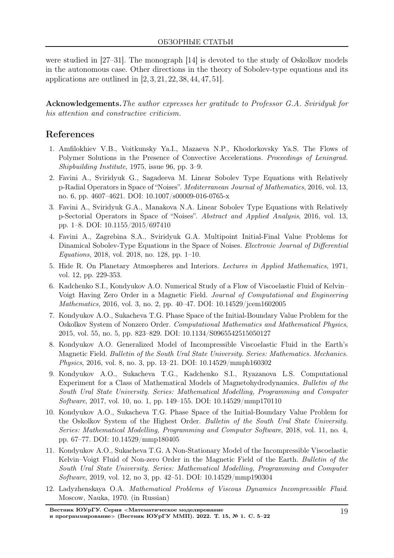were studied in [27–31]. The monograph [14] is devoted to the study of Oskolkov models in the autonomous case. Other directions in the theory of Sobolev-type equations and its applications are outlined in [2, 3, 21, 22, 38, 44, 47, 51].

Acknowledgements.The author expresses her gratitude to Professor G.A. Sviridyuk for his attention and constructive criticism.

# References

- 1. Amfilokhiev V.B., Voitkunsky Ya.I., Mazaeva N.P., Khodorkovsky Ya.S. The Flows of Polymer Solutions in the Presence of Convective Accelerations. Proceedings of Leningrad. Shipbuilding Institute, 1975, issue 96, pp. 3–9.
- 2. Favini A., Sviridyuk G., Sagadeeva M. Linear Sobolev Type Equations with Relatively p-Radial Operators in Space of "Noises". Mediterranean Journal of Mathematics, 2016, vol. 13, no. 6, pp. 4607–4621. DOI: 10.1007/s00009-016-0765-x
- 3. Favini A., Sviridyuk G.A., Manakova N.A. Linear Sobolev Type Equations with Relatively p-Sectorial Operators in Space of "Noises". Abstract and Applied Analysis, 2016, vol. 13, pp. 1–8. DOI: 10.1155/2015/697410
- 4. Favini A., Zagrebina S.A., Sviridyuk G.A. Multipoint Initial-Final Value Problems for Dinamical Sobolev-Type Equations in the Space of Noises. *Electronic Journal of Differential* Equations, 2018, vol. 2018, no. 128, pp. 1–10.
- 5. Hide R. On Planetary Atmospheres and Interiors. Lectures in Applied Mathematics, 1971, vol. 12, pp. 229-353.
- 6. Kadchenko S.I., Kondyukov A.O. Numerical Study of a Flow of Viscoelastic Fluid of Kelvin– Voigt Having Zero Order in a Magnetic Field. Journal of Computational and Engineering Mathematics, 2016, vol. 3, no. 2, pp. 40–47. DOI: 10.14529/jcem1602005
- 7. Kondyukov A.O., Sukacheva T.G. Phase Space of the Initial-Boundary Value Problem for the Oskolkov System of Nonzero Order. Computational Mathematics and Mathematical Physics, 2015, vol. 55, no. 5, pp. 823–829. DOI: 10.1134/S0965542515050127
- 8. Kondyukov A.O. Generalized Model of Incompressible Viscoelastic Fluid in the Earth's Magnetic Field. Bulletin of the South Ural State University. Series: Mathematics. Mechanics. Physics, 2016, vol. 8, no. 3, pp. 13–21. DOI: 10.14529/mmph160302
- 9. Kondyukov A.O., Sukacheva T.G., Kadchenko S.I., Ryazanova L.S. Computational Experiment for a Class of Mathematical Models of Magnetohydrodynamics. Bulletin of the South Ural State University. Series: Mathematical Modelling, Programming and Computer Software, 2017, vol. 10, no. 1, pp. 149–155. DOI: 10.14529/mmp170110
- 10. Kondyukov A.O., Sukacheva T.G. Phase Space of the Initial-Boundary Value Problem for the Oskolkov System of the Highest Order. Bulletin of the South Ural State University. Series: Mathematical Modelling, Programming and Computer Software, 2018, vol. 11, no. 4, pp. 67–77. DOI: 10.14529/mmp180405
- 11. Kondyukov A.O., Sukacheva T.G. A Non-Stationary Model of the Incompressible Viscoelastic Kelvin–Voigt Fluid of Non-zero Order in the Magnetic Field of the Earth. Bulletin of the South Ural State University. Series: Mathematical Modelling, Programming and Computer Software, 2019, vol. 12, no 3, pp. 42–51. DOI: 10.14529/mmp190304
- 12. Ladyzhenskaya O.A. Mathematical Problems of Viscous Dynamics Incompressible Fluid. Moscow, Nauka, 1970. (in Russian)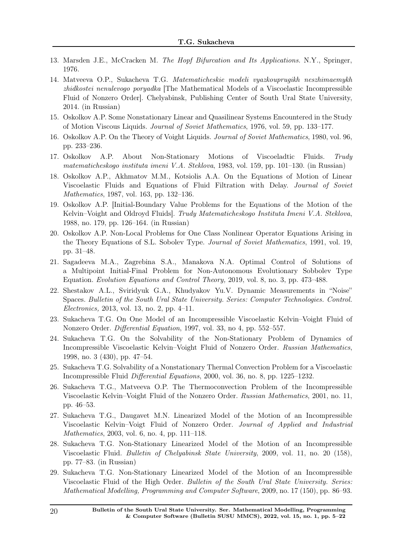- 13. Marsden J.E., McCracken M. The Hopf Bifurcation and Its Applications. N.Y., Springer, 1976.
- 14. Matveeva O.P., Sukacheva T.G. Matematicheskie modeli vyazkouprugikh neszhimaemykh zhidkostei nenulevogo poryadka [The Mathematical Models of a Viscoelastic Incompressible Fluid of Nonzero Order]. Chelyabinsk, Publishing Center of South Ural State University, 2014. (in Russian)
- 15. Oskolkov A.P. Some Nonstationary Linear and Quasilinear Systems Encountered in the Study of Motion Viscous Liquids. Journal of Soviet Mathematics, 1976, vol. 59, pp. 133–177.
- 16. Oskolkov A.P. On the Theory of Voight Liquids. Journal of Soviet Mathematics, 1980, vol. 96, pp. 233–236.
- 17. Oskolkov A.P. About Non-Stationary Motions of Viscoeladtic Fluids. Trudy matematicheskogo instituta imeni V.A. Steklova, 1983, vol. 159, pp. 101–130. (in Russian)
- 18. Oskolkov A.P., Akhmatov M.M., Kotsiolis A.A. On the Equations of Motion of Linear Viscoelastic Fluids and Equations of Fluid Filtration with Delay. Journal of Soviet Mathematics, 1987, vol. 163, pp. 132–136.
- 19. Oskolkov A.P. [Initial-Boundary Value Problems for the Equations of the Motion of the Kelvin–Voight and Oldroyd Fluids]. Trudy Matematicheskogo Instituta Imeni V.A. Steklova, 1988, no. 179, pp. 126–164. (in Russian)
- 20. Oskolkov A.P. Non-Local Problems for One Class Nonlinear Operator Equations Arising in the Theory Equations of S.L. Sobolev Type. Journal of Soviet Mathematics, 1991, vol. 19, pp. 31–48.
- 21. Sagadeeva M.A., Zagrebina S.A., Manakova N.A. Optimal Control of Solutions of a Multipoint Initial-Final Problem for Non-Autonomous Evolutionary Sobbolev Type Equation. Evolution Equations and Control Theory, 2019, vol. 8, no. 3, pp. 473–488.
- 22. Shestakov A.L., Sviridyuk G.A., Khudyakov Yu.V. Dynamic Measurements in "Noise" Spaces. Bulletin of the South Ural State University. Series: Computer Technologies. Control. Electronics, 2013, vol. 13, no. 2, pp. 4–11.
- 23. Sukacheva T.G. On One Model of an Incompressible Viscoelastic Kelvin–Voight Fluid of Nonzero Order. Differential Equation, 1997, vol. 33, no 4, pp. 552–557.
- 24. Sukacheva T.G. On the Solvability of the Non-Stationary Problem of Dynamics of Incompressible Viscoelastic Kelvin–Voight Fluid of Nonzero Order. Russian Mathematics, 1998, no. 3 (430), pp. 47–54.
- 25. Sukacheva T.G. Solvability of a Nonstationary Thermal Convection Problem for a Viscoelastic Incompressible Fluid Differential Equations, 2000, vol. 36, no. 8, pp. 1225–1232.
- 26. Sukacheva T.G., Matveeva O.P. The Thermoconvection Problem of the Incompressible Viscoelastic Kelvin–Voight Fluid of the Nonzero Order. Russian Mathematics, 2001, no. 11, pp. 46–53.
- 27. Sukacheva T.G., Daugavet M.N. Linearized Model of the Motion of an Incompressible Viscoelastic Kelvin–Voigt Fluid of Nonzero Order. Journal of Applied and Industrial Mathematics, 2003, vol. 6, no. 4, pp. 111–118.
- 28. Sukacheva T.G. Non-Stationary Linearized Model of the Motion of an Incompressible Viscoelastic Fluid. Bulletin of Chelyabinsk State University, 2009, vol. 11, no. 20 (158), pp. 77–83. (in Russian)
- 29. Sukacheva T.G. Non-Stationary Linearized Model of the Motion of an Incompressible Viscoelastic Fluid of the High Order. Bulletin of the South Ural State University. Series: Mathematical Modelling, Programming and Computer Software, 2009, no. 17 (150), pp. 86–93.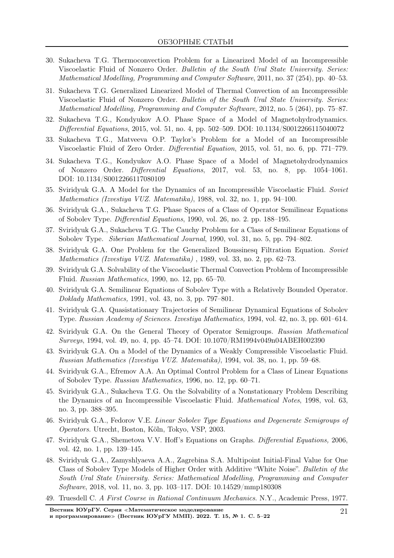- 30. Sukacheva T.G. Thermoconvection Problem for a Linearized Model of an Incompressible Viscoelastic Fluid of Nonzero Order. Bulletin of the South Ural State University. Series: Mathematical Modelling, Programming and Computer Software, 2011, no. 37 (254), pp. 40–53.
- 31. Sukacheva T.G. Generalized Linearized Model of Thermal Convection of an Incompressible Viscoelastic Fluid of Nonzero Order. Bulletin of the South Ural State University. Series: Mathematical Modelling, Programming and Computer Software, 2012, no. 5 (264), pp. 75–87.
- 32. Sukacheva T.G., Kondyukov A.O. Phase Space of a Model of Magnetohydrodynamics. Differential Equations, 2015, vol. 51, no. 4, pp. 502–509. DOI: 10.1134/S0012266115040072
- 33. Sukacheva T.G., Matveeva O.P. Taylor's Problem for a Model of an Incompressible Viscoelastic Fluid of Zero Order. *Differential Equation*, 2015, vol. 51, no. 6, pp. 771–779.
- 34. Sukacheva T.G., Kondyukov A.O. Phase Space of a Model of Magnetohydrodynamics of Nonzero Order. Differential Equations, 2017, vol. 53, no. 8, pp. 1054–1061. DOI: 10.1134/S0012266117080109
- 35. Sviridyuk G.A. A Model for the Dynamics of an Incompressible Viscoelastic Fluid. Soviet Mathematics (Izvestiya VUZ. Matematika), 1988, vol. 32, no. 1, pp. 94–100.
- 36. Sviridyuk G.A., Sukacheva T.G. Phase Spaces of a Class of Operator Semilinear Equations of Sobolev Type. Differential Equations, 1990, vol. 26, no. 2. pp. 188–195.
- 37. Sviridyuk G.A., Sukacheva T.G. The Cauchy Problem for a Class of Semilinear Equations of Sobolev Type. Siberian Mathematical Journal, 1990, vol. 31, no. 5, pp. 794–802.
- 38. Sviridyuk G.A. One Problem for the Generalized Boussinesq Filtration Equation. Soviet Mathematics (Izvestiya VUZ. Matematika) , 1989, vol. 33, no. 2, pp. 62–73.
- 39. Sviridyuk G.A. Solvability of the Viscoelastic Thermal Convection Problem of Incompressible Fluid. Russian Mathematics, 1990, no. 12, pp. 65–70.
- 40. Sviridyuk G.A. Semilinear Equations of Sobolev Type with a Relatively Bounded Operator. Doklady Mathematics, 1991, vol. 43, no. 3, pp. 797–801.
- 41. Sviridyuk G.A. Quasistationary Trajectories of Semilinear Dynamical Equations of Sobolev Type. Russian Academy of Sciences. Izvestiya Mathematics, 1994, vol. 42, no. 3, pp. 601–614.
- 42. Sviridyuk G.A. On the General Theory of Operator Semigroups. Russian Mathematical Surveys, 1994, vol. 49, no. 4, pp. 45–74. DOI: 10.1070/RM1994v049n04ABEH002390
- 43. Sviridyuk G.A. On a Model of the Dynamics of a Weakly Compressible Viscoelastic Fluid. Russian Mathematics (Izvestiya VUZ. Matematika), 1994, vol. 38, no. 1, pp. 59–68.
- 44. Sviridyuk G.A., Efremov A.A. An Optimal Control Problem for a Class of Linear Equations of Sobolev Type. Russian Mathematics, 1996, no. 12, pp. 60–71.
- 45. Sviridyuk G.A., Sukacheva T.G. On the Solvability of a Nonstationary Problem Describing the Dynamics of an Incompressible Viscoelastic Fluid. Mathematical Notes, 1998, vol. 63, no. 3, pp. 388–395.
- 46. Sviridyuk G.A., Fedorov V.E. Linear Sobolev Type Equations and Degenerate Semigroups of Operators. Utrecht, Boston, Köln, Tokyo, VSP, 2003.
- 47. Sviridyuk G.A., Shemetova V.V. Hoff's Equations on Graphs. Differential Equations, 2006, vol. 42, no. 1, pp. 139–145.
- 48. Sviridyuk G.A., Zamyshlyaeva A.A., Zagrebina S.A. Multipoint Initial-Final Value for One Class of Sobolev Type Models of Higher Order with Additive "White Noise". Bulletin of the South Ural State University. Series: Mathematical Modelling, Programming and Computer Software, 2018, vol. 11, no. 3, pp. 103–117. DOI: 10.14529/mmp180308
- 49. Truesdell C. A First Course in Rational Continuum Mechanics. N.Y., Academic Press, 1977.

Вестник ЮУрГУ. Серия <sup>≪</sup>Математическое моделирование

и программирование» (Вестник ЮУрГУ ММП). 2022. Т. 15, № 1. С. 5–22